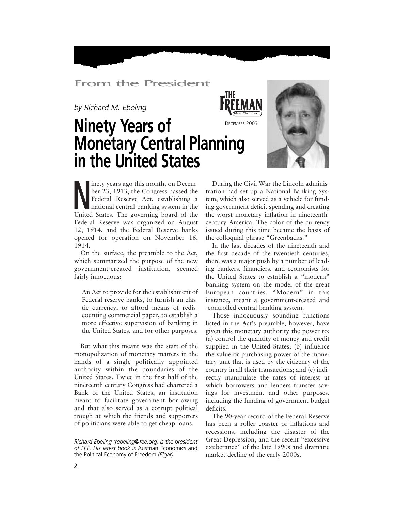## From the President

*by Richard M. Ebeling*

## **Ninety Years of Monetary Central Planning in the United States** *Ideas On Liberty* DECEMBER 2003



Inety years ago this month, on Decem-<br>
ber 23, 1913, the Congress passed the<br>
Federal Reserve Act, establishing a<br>
national central-banking system in the<br>
Hirida States. The governing board of the ber 23, 1913, the Congress passed the Federal Reserve Act, establishing a national central-banking system in the United States. The governing board of the Federal Reserve was organized on August 12, 1914, and the Federal Reserve banks opened for operation on November 16, 1914.

On the surface, the preamble to the Act, which summarized the purpose of the new government-created institution, seemed fairly innocuous:

An Act to provide for the establishment of Federal reserve banks, to furnish an elastic currency, to afford means of rediscounting commercial paper, to establish a more effective supervision of banking in the United States, and for other purposes.

But what this meant was the start of the monopolization of monetary matters in the hands of a single politically appointed authority within the boundaries of the United States. Twice in the first half of the nineteenth century Congress had chartered a Bank of the United States, an institution meant to facilitate government borrowing and that also served as a corrupt political trough at which the friends and supporters of politicians were able to get cheap loans.

During the Civil War the Lincoln administration had set up a National Banking System, which also served as a vehicle for funding government deficit spending and creating the worst monetary inflation in nineteenthcentury America. The color of the currency issued during this time became the basis of the colloquial phrase "Greenbacks."

In the last decades of the nineteenth and the first decade of the twentieth centuries, there was a major push by a number of leading bankers, financiers, and economists for the United States to establish a "modern" banking system on the model of the great European countries. "Modern" in this instance, meant a government-created and -controlled central banking system.

Those innocuously sounding functions listed in the Act's preamble, however, have given this monetary authority the power to: (a) control the quantity of money and credit supplied in the United States; (b) influence the value or purchasing power of the monetary unit that is used by the citizenry of the country in all their transactions; and (c) indirectly manipulate the rates of interest at which borrowers and lenders transfer savings for investment and other purposes, including the funding of government budget deficits.

The 90-year record of the Federal Reserve has been a roller coaster of inflations and recessions, including the disaster of the Great Depression, and the recent "excessive exuberance" of the late 1990s and dramatic market decline of the early 2000s.

*Richard Ebeling (rebeling@fee.org) is the president of FEE. His latest book is* Austrian Economics and the Political Economy of Freedom *(Elgar).*